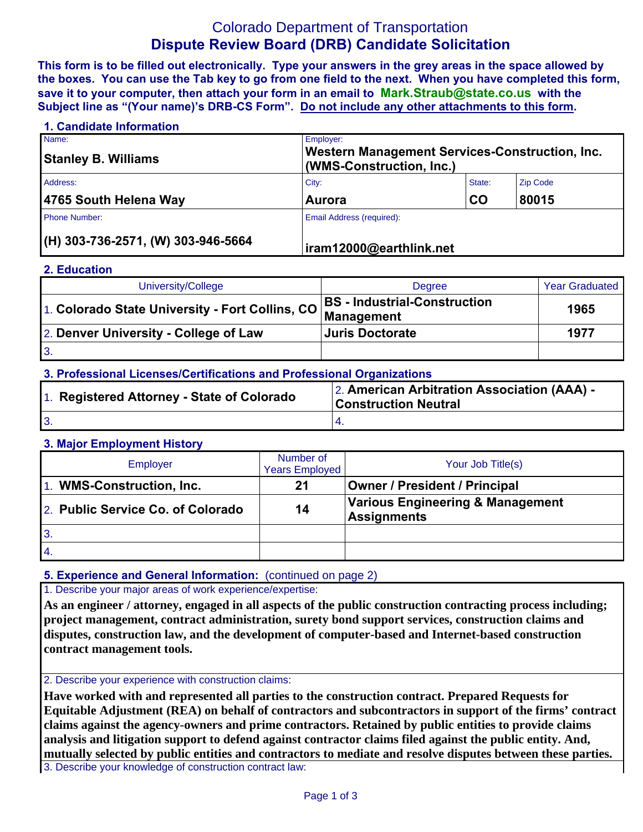# Colorado Department of Transportation **Dispute Review Board (DRB) Candidate Solicitation**

**This form is to be filled out electronically. Type your answers in the grey areas in the space allowed by the boxes. You can use the Tab key to go from one field to the next. When you have completed this form, save it to your computer, then attach your form in an email to Mark.Straub@state.co.us with the Subject line as "(Your name)'s DRB-CS Form". Do not include any other attachments to this form.**

| 1. Candidate Information             |                           |                                                                            |                 |  |  |  |
|--------------------------------------|---------------------------|----------------------------------------------------------------------------|-----------------|--|--|--|
| Name:<br><b>Stanley B. Williams</b>  | Employer:                 | Western Management Services-Construction, Inc.<br>(WMS-Construction, Inc.) |                 |  |  |  |
| Address:                             | City:                     | State:                                                                     | <b>Zip Code</b> |  |  |  |
| 4765 South Helena Way                | <b>Aurora</b>             | CO                                                                         | 80015           |  |  |  |
| <b>Phone Number:</b>                 | Email Address (required): |                                                                            |                 |  |  |  |
| $(H)$ 303-736-2571, (W) 303-946-5664 | iram12000@earthlink.net   |                                                                            |                 |  |  |  |

#### **2. Education**

| University/College                    | <b>Degree</b>                       | <b>Year Graduated</b> |
|---------------------------------------|-------------------------------------|-----------------------|
|                                       | <b>BS</b> - Industrial-Construction | 1965                  |
| 2. Denver University - College of Law | <b>Juris Doctorate</b>              | 1977                  |
| $\mathbf{3}$                          |                                     |                       |

# **3. Professional Licenses/Certifications and Professional Organizations**

| 1. Registered Attorney - State of Colorado | 2. American Arbitration Association (AAA) -<br><b>Construction Neutral</b> |  |  |
|--------------------------------------------|----------------------------------------------------------------------------|--|--|
|                                            |                                                                            |  |  |

### **3. Major Employment History**

| Employer                          | Number of<br><b>Years Employed</b> | Your Job Title(s)                                      |
|-----------------------------------|------------------------------------|--------------------------------------------------------|
| 1. WMS-Construction, Inc.         | 21                                 | Owner / President / Principal                          |
| 2. Public Service Co. of Colorado | 14                                 | Various Engineering & Management<br><b>Assignments</b> |
| 3.                                |                                    |                                                        |
| 4.                                |                                    |                                                        |

### **5. Experience and General Information:** (continued on page 2)

# 1. Describe your major areas of work experience/expertise:

**As an engineer / attorney, engaged in all aspects of the public construction contracting process including; project management, contract administration, surety bond support services, construction claims and disputes, construction law, and the development of computer-based and Internet-based construction contract management tools.**

#### 2. Describe your experience with construction claims:

**Have worked with and represented all parties to the construction contract. Prepared Requests for Equitable Adjustment (REA) on behalf of contractors and subcontractors in support of the firms' contract claims against the agency-owners and prime contractors. Retained by public entities to provide claims analysis and litigation support to defend against contractor claims filed against the public entity. And, mutually selected by public entities and contractors to mediate and resolve disputes between these parties.**

3. Describe your knowledge of construction contract law: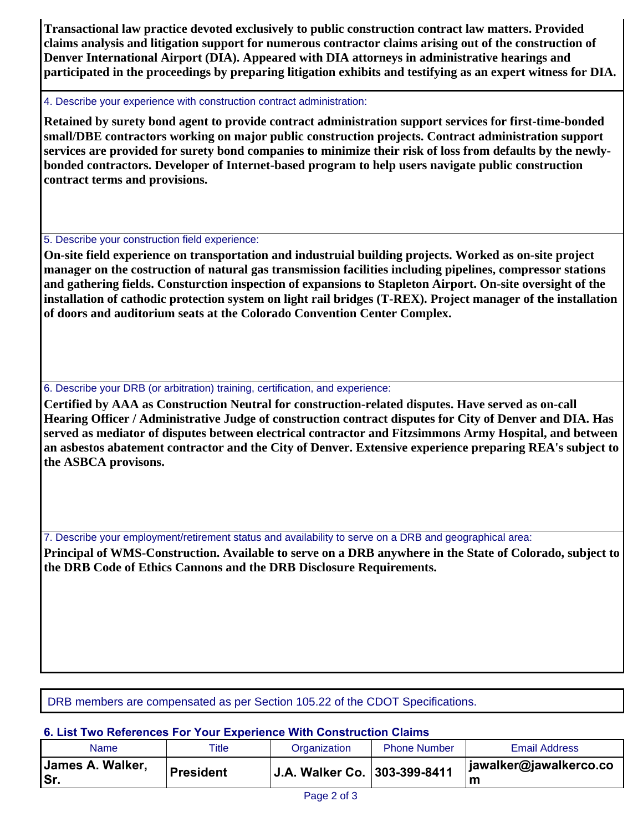**Transactional law practice devoted exclusively to public construction contract law matters. Provided claims analysis and litigation support for numerous contractor claims arising out of the construction of Denver International Airport (DIA). Appeared with DIA attorneys in administrative hearings and participated in the proceedings by preparing litigation exhibits and testifying as an expert witness for DIA.**

### 4. Describe your experience with construction contract administration:

**Retained by surety bond agent to provide contract administration support services for first-time-bonded small/DBE contractors working on major public construction projects. Contract administration support services are provided for surety bond companies to minimize their risk of loss from defaults by the newlybonded contractors. Developer of Internet-based program to help users navigate public construction contract terms and provisions.** 

# 5. Describe your construction field experience:

**On-site field experience on transportation and industruial building projects. Worked as on-site project manager on the costruction of natural gas transmission facilities including pipelines, compressor stations and gathering fields. Consturction inspection of expansions to Stapleton Airport. On-site oversight of the installation of cathodic protection system on light rail bridges (T-REX). Project manager of the installation of doors and auditorium seats at the Colorado Convention Center Complex.**

# 6. Describe your DRB (or arbitration) training, certification, and experience:

**Certified by AAA as Construction Neutral for construction-related disputes. Have served as on-call Hearing Officer / Administrative Judge of construction contract disputes for City of Denver and DIA. Has served as mediator of disputes between electrical contractor and Fitzsimmons Army Hospital, and between an asbestos abatement contractor and the City of Denver. Extensive experience preparing REA's subject to the ASBCA provisons.**

7. Describe your employment/retirement status and availability to serve on a DRB and geographical area:

**Principal of WMS-Construction. Available to serve on a DRB anywhere in the State of Colorado, subject to the DRB Code of Ethics Cannons and the DRB Disclosure Requirements.**

DRB members are compensated as per Section 105.22 of the CDOT Specifications.

# **6. List Two References For Your Experience With Construction Claims**

| Name                     | Title            | Organization                 | <b>Phone Number</b> | <b>Email Address</b>        |
|--------------------------|------------------|------------------------------|---------------------|-----------------------------|
| James A. Walker,<br>'Sr. | <b>President</b> | J.A. Walker Co. 303-399-8411 |                     | jawalker@jawalkerco.co<br>m |